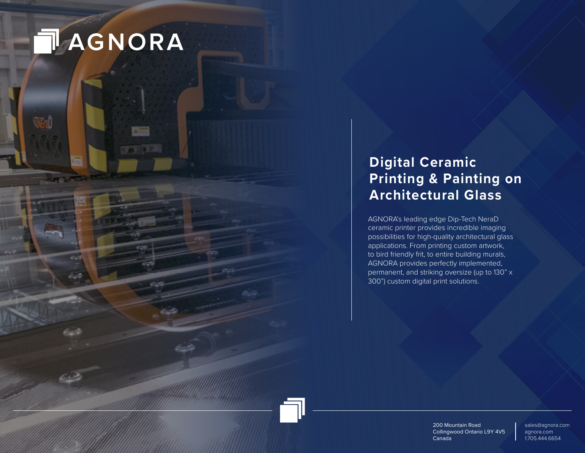# **TAGNORA**

# **Digital Ceramic Printing & Painting on Architectural Glass**

AGNORA's leading edge Dip-Tech NeraD ceramic printer provides incredible imaging possibilities for high-quality architectural glass applications. From printing custom artwork, to bird friendly frit, to entire building murals, AGNORA provides perfectly implemented, permanent, and striking oversize (up to 130" x 300") custom digital print solutions.

> 200 Mountain Road Collingwood Ontario L9Y 4V5 Canada

sales@agnora.com agnora.com 1.705.444.6654